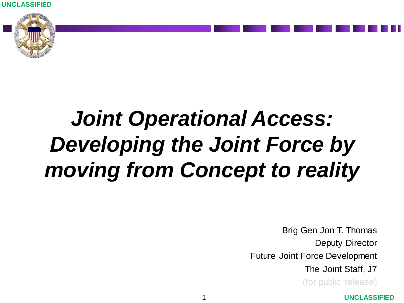**UNCLASSIFIED**



## *Joint Operational Access: Developing the Joint Force by moving from Concept to reality*

Brig Gen Jon T. Thomas Deputy Director Future Joint Force Development The Joint Staff, J7

(for public release)

#### **UNCLASSIFIED**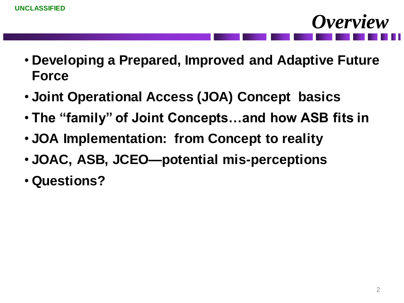- **Developing a Prepared, Improved and Adaptive Future Force**
- **Joint Operational Access (JOA) Concept basics**
- **The "family" of Joint Concepts…and how ASB fits in**
- **JOA Implementation: from Concept to reality**
- **JOAC, ASB, JCEO—potential mis-perceptions**
- **Questions?**

*Overview*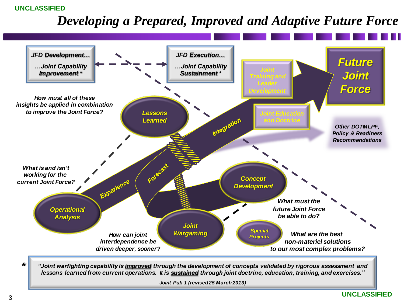#### **UNCLASSIFIED**

#### *Developing a Prepared, Improved and Adaptive Future Force*

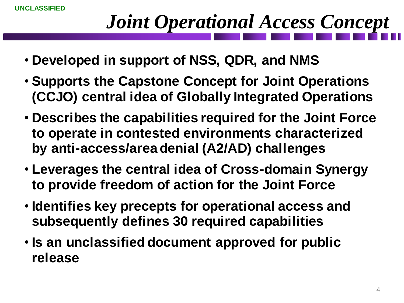## *Joint Operational Access Concept*

- **Developed in support of NSS, QDR, and NMS**
- **Supports the Capstone Concept for Joint Operations (CCJO) central idea of Globally Integrated Operations**
- **Describes the capabilities required for the Joint Force to operate in contested environments characterized by anti-access/area denial (A2/AD) challenges**
- **Leverages the central idea of Cross-domain Synergy to provide freedom of action for the Joint Force**
- **Identifies key precepts for operational access and subsequently defines 30 required capabilities**
- **Is an unclassified document approved for public release**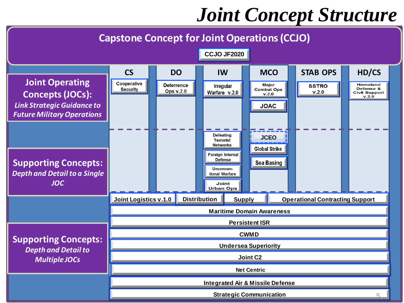### *Joint Concept Structure*

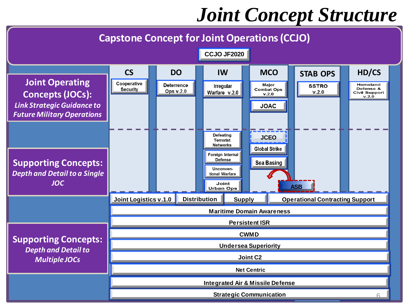### *Joint Concept Structure*

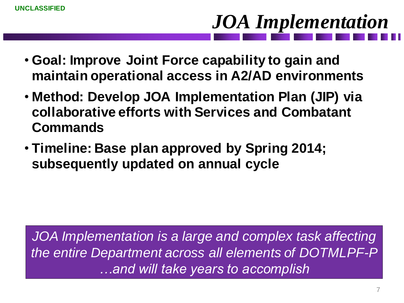# *JOA Implementation*

- **Goal: Improve Joint Force capability to gain and maintain operational access in A2/AD environments**
- **Method: Develop JOA Implementation Plan (JIP) via collaborative efforts with Services and Combatant Commands**
- **Timeline: Base plan approved by Spring 2014; subsequently updated on annual cycle**

JOA Implementation is a large and complex task affecting *the entire Department across all elements of DOTMLPF-P …and will take years to accomplish*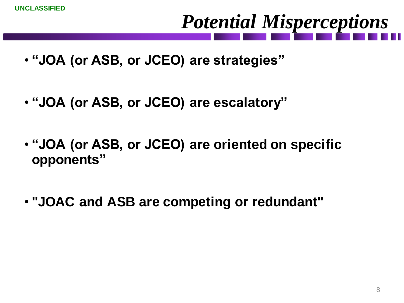## *Potential Misperceptions*

- **"JOA (or ASB, or JCEO) are strategies"**
- **"JOA (or ASB, or JCEO) are escalatory"**
- **"JOA (or ASB, or JCEO) are oriented on specific opponents"**
- **"JOAC and ASB are competing or redundant"**